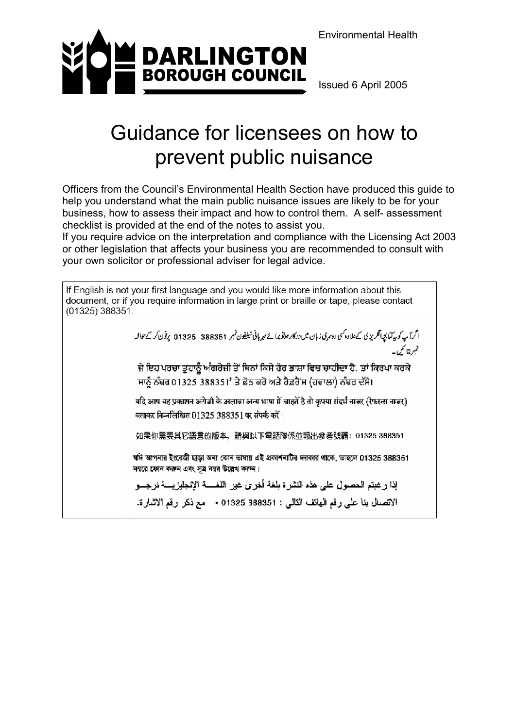Environmental Health



Issued 6 April 2005

# Guidance for licensees on how to prevent public nuisance

Officers from the Council's Environmental Health Section have produced this guide to help you understand what the main public nuisance issues are likely to be for your business, how to assess their impact and how to control them. A self- assessment checklist is provided at the end of the notes to assist you.

If you require advice on the interpretation and compliance with the Licensing Act 2003 or other legislation that affects your business you are recommended to consult with your own solicitor or professional adviser for legal advice.

If English is not your first language and you would like more information about this document, or if you require information in large print or braille or tape, please contact (01325) 388351.

اگرآپ کو بیرکنا بچہ انگریز پی کےعلاوہ کسی دوسری زبان میں درکار ہوتو پرانے سیریانی ٹیلیٹون قبسر 388351 ۔ 11325 پوفون کر کےحوالہ غيرةناسمي-

ਜੇ ਇਹ ਪਰਚਾ ਤੁਹਾਨੂੰ ਅੰਗਰੇਜ਼ੀ ਤੋਂ ਬਿਨਾਂ ਕਿਸੇ ਹੋਰ ਭਾਸ਼ਾ ਵਿਚ ਚਾਹੀਦਾ ਹੈ, ਤਾਂ ਕਿਰਪਾ ਕਰਕੇ ਸਾਨੂੰ ਨੰਬਰ 01325 388351' ਤੇ ਫ਼ੋਨ ਕਰੋ ਅਤੇ ਰੈਫ਼ਰੈਂਸ (ਹਵਾਲਾ) ਨੰਬਰ ਦੱਸੋ।

यदि आप यह प्रकाशन अंगेज़ी के अलावा अन्य भाषा में चाहतें है तो कृपया संदर्भ नम्बर (रेफरन्स नम्बर) बताकर निम्नलिखित 01325 388351 पर संपर्क करें।

如果你需要其它語言的版本,請與以下電話聯係並報出參考號碼: 01325 388351

যদি আপনার ইংরেজী ছাড়া অন্য কোন ভাষায় এই প্রকাশনাটির দরকার থাকে, ভাহলে 01325 388351 নম্বরে ফোন করুন এবং সূত্র নম্বর উল্লেখ করুন।

إذا رغبتم الحصول على هذه النشرة بلغة أخرى غير اللغسة الإنجليزيسة نرجسو الاتصال بنا على رقم الهاتف التالي : 01325 388351 + مع ذكر رقم الاشارة.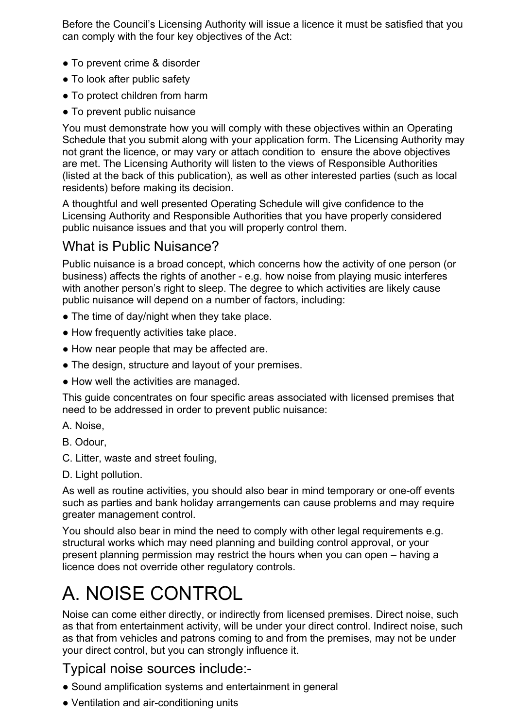Before the Council's Licensing Authority will issue a licence it must be satisfied that you can comply with the four key objectives of the Act:

- To prevent crime & disorder
- To look after public safety
- To protect children from harm
- To prevent public nuisance

You must demonstrate how you will comply with these objectives within an Operating Schedule that you submit along with your application form. The Licensing Authority may not grant the licence, or may vary or attach condition to ensure the above objectives are met. The Licensing Authority will listen to the views of Responsible Authorities (listed at the back of this publication), as well as other interested parties (such as local residents) before making its decision.

A thoughtful and well presented Operating Schedule will give confidence to the Licensing Authority and Responsible Authorities that you have properly considered public nuisance issues and that you will properly control them.

## What is Public Nuisance?

Public nuisance is a broad concept, which concerns how the activity of one person (or business) affects the rights of another - e.g. how noise from playing music interferes with another person's right to sleep. The degree to which activities are likely cause public nuisance will depend on a number of factors, including:

- The time of day/night when they take place.
- How frequently activities take place.
- How near people that may be affected are.
- The design, structure and layout of your premises.
- How well the activities are managed.

This guide concentrates on four specific areas associated with licensed premises that need to be addressed in order to prevent public nuisance:

- A. Noise,
- B. Odour,
- C. Litter, waste and street fouling,
- D. Light pollution.

As well as routine activities, you should also bear in mind temporary or one-off events such as parties and bank holiday arrangements can cause problems and may require greater management control.

You should also bear in mind the need to comply with other legal requirements e.g. structural works which may need planning and building control approval, or your present planning permission may restrict the hours when you can open – having a licence does not override other regulatory controls.

# A. NOISE CONTROL

Noise can come either directly, or indirectly from licensed premises. Direct noise, such as that from entertainment activity, will be under your direct control. Indirect noise, such as that from vehicles and patrons coming to and from the premises, may not be under your direct control, but you can strongly influence it.

## Typical noise sources include:-

- Sound amplification systems and entertainment in general
- Ventilation and air-conditioning units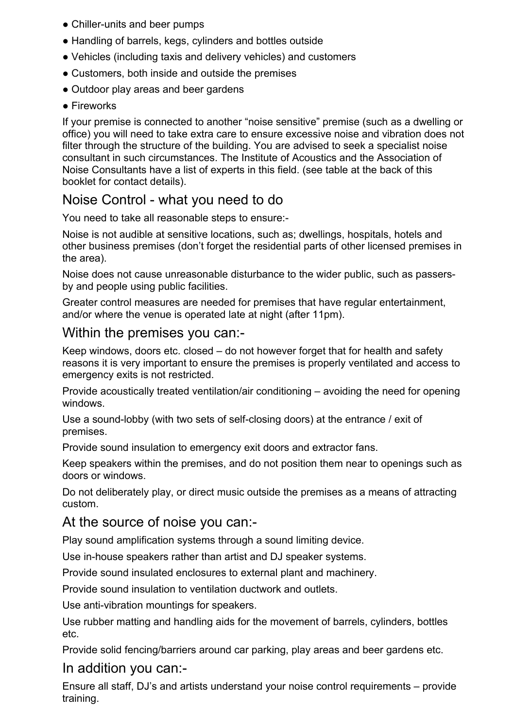- Chiller-units and beer pumps
- Handling of barrels, kegs, cylinders and bottles outside
- Vehicles (including taxis and delivery vehicles) and customers
- Customers, both inside and outside the premises
- Outdoor play areas and beer gardens
- Fireworks

If your premise is connected to another "noise sensitive" premise (such as a dwelling or office) you will need to take extra care to ensure excessive noise and vibration does not filter through the structure of the building. You are advised to seek a specialist noise consultant in such circumstances. The Institute of Acoustics and the Association of Noise Consultants have a list of experts in this field. (see table at the back of this booklet for contact details).

## Noise Control - what you need to do

You need to take all reasonable steps to ensure:-

Noise is not audible at sensitive locations, such as; dwellings, hospitals, hotels and other business premises (don't forget the residential parts of other licensed premises in the area).

Noise does not cause unreasonable disturbance to the wider public, such as passersby and people using public facilities.

Greater control measures are needed for premises that have regular entertainment, and/or where the venue is operated late at night (after 11pm).

## Within the premises you can:-

Keep windows, doors etc. closed – do not however forget that for health and safety reasons it is very important to ensure the premises is properly ventilated and access to emergency exits is not restricted.

Provide acoustically treated ventilation/air conditioning – avoiding the need for opening windows.

Use a sound-lobby (with two sets of self-closing doors) at the entrance / exit of premises.

Provide sound insulation to emergency exit doors and extractor fans.

Keep speakers within the premises, and do not position them near to openings such as doors or windows.

Do not deliberately play, or direct music outside the premises as a means of attracting custom.

### At the source of noise you can:-

Play sound amplification systems through a sound limiting device.

Use in-house speakers rather than artist and DJ speaker systems.

Provide sound insulated enclosures to external plant and machinery.

Provide sound insulation to ventilation ductwork and outlets.

Use anti-vibration mountings for speakers.

Use rubber matting and handling aids for the movement of barrels, cylinders, bottles etc.

Provide solid fencing/barriers around car parking, play areas and beer gardens etc.

### In addition you can:-

Ensure all staff, DJ's and artists understand your noise control requirements – provide training.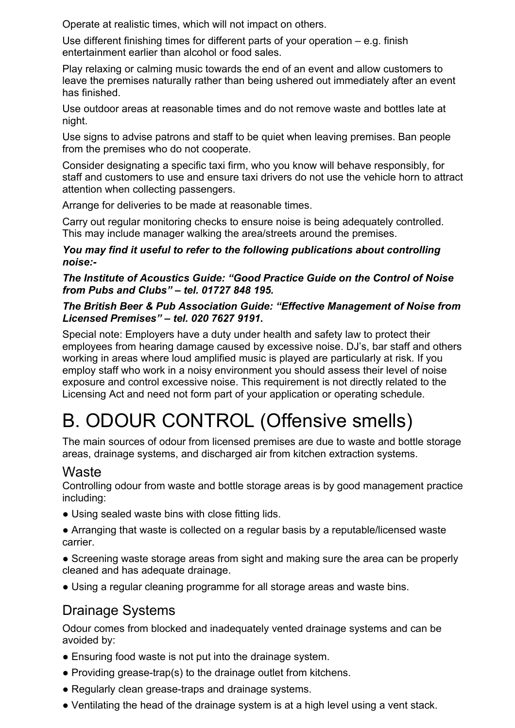Operate at realistic times, which will not impact on others.

Use different finishing times for different parts of your operation – e.g. finish entertainment earlier than alcohol or food sales.

Play relaxing or calming music towards the end of an event and allow customers to leave the premises naturally rather than being ushered out immediately after an event has finished.

Use outdoor areas at reasonable times and do not remove waste and bottles late at night.

Use signs to advise patrons and staff to be quiet when leaving premises. Ban people from the premises who do not cooperate.

Consider designating a specific taxi firm, who you know will behave responsibly, for staff and customers to use and ensure taxi drivers do not use the vehicle horn to attract attention when collecting passengers.

Arrange for deliveries to be made at reasonable times.

Carry out regular monitoring checks to ensure noise is being adequately controlled. This may include manager walking the area/streets around the premises.

#### *You may find it useful to refer to the following publications about controlling noise:-*

#### *The Institute of Acoustics Guide: "Good Practice Guide on the Control of Noise from Pubs and Clubs" – tel. 01727 848 195.*

### *The British Beer & Pub Association Guide: "Effective Management of Noise from Licensed Premises" – tel. 020 7627 9191.*

Special note: Employers have a duty under health and safety law to protect their employees from hearing damage caused by excessive noise. DJ's, bar staff and others working in areas where loud amplified music is played are particularly at risk. If you employ staff who work in a noisy environment you should assess their level of noise exposure and control excessive noise. This requirement is not directly related to the Licensing Act and need not form part of your application or operating schedule.

# B. ODOUR CONTROL (Offensive smells)

The main sources of odour from licensed premises are due to waste and bottle storage areas, drainage systems, and discharged air from kitchen extraction systems.

### **Waste**

Controlling odour from waste and bottle storage areas is by good management practice including:

- Using sealed waste bins with close fitting lids.
- Arranging that waste is collected on a regular basis by a reputable/licensed waste carrier.
- Screening waste storage areas from sight and making sure the area can be properly cleaned and has adequate drainage.
- Using a regular cleaning programme for all storage areas and waste bins.

## Drainage Systems

Odour comes from blocked and inadequately vented drainage systems and can be avoided by:

- Ensuring food waste is not put into the drainage system.
- Providing grease-trap(s) to the drainage outlet from kitchens.
- Regularly clean grease-traps and drainage systems.
- Ventilating the head of the drainage system is at a high level using a vent stack.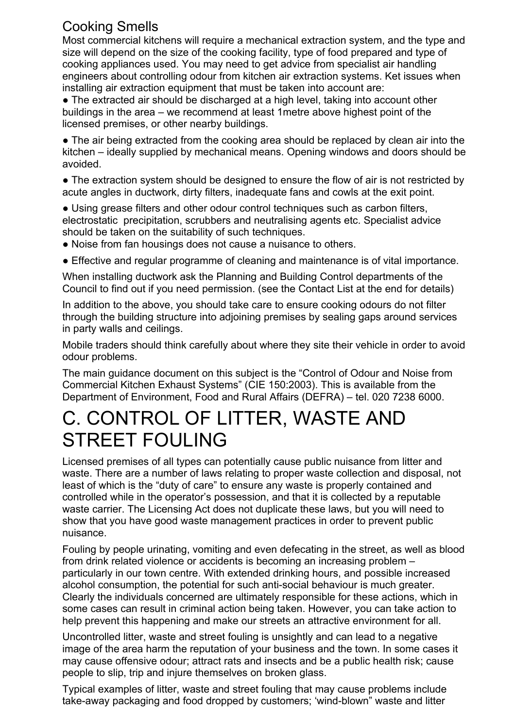## Cooking Smells

Most commercial kitchens will require a mechanical extraction system, and the type and size will depend on the size of the cooking facility, type of food prepared and type of cooking appliances used. You may need to get advice from specialist air handling engineers about controlling odour from kitchen air extraction systems. Ket issues when installing air extraction equipment that must be taken into account are:

• The extracted air should be discharged at a high level, taking into account other buildings in the area – we recommend at least 1metre above highest point of the licensed premises, or other nearby buildings.

• The air being extracted from the cooking area should be replaced by clean air into the kitchen – ideally supplied by mechanical means. Opening windows and doors should be avoided.

• The extraction system should be designed to ensure the flow of air is not restricted by acute angles in ductwork, dirty filters, inadequate fans and cowls at the exit point.

● Using grease filters and other odour control techniques such as carbon filters, electrostatic precipitation, scrubbers and neutralising agents etc. Specialist advice should be taken on the suitability of such techniques.

- Noise from fan housings does not cause a nuisance to others.
- Effective and regular programme of cleaning and maintenance is of vital importance.

When installing ductwork ask the Planning and Building Control departments of the Council to find out if you need permission. (see the Contact List at the end for details)

In addition to the above, you should take care to ensure cooking odours do not filter through the building structure into adjoining premises by sealing gaps around services in party walls and ceilings.

Mobile traders should think carefully about where they site their vehicle in order to avoid odour problems.

The main guidance document on this subject is the "Control of Odour and Noise from Commercial Kitchen Exhaust Systems" (CIE 150:2003). This is available from the Department of Environment, Food and Rural Affairs (DEFRA) – tel. 020 7238 6000.

# C. CONTROL OF LITTER, WASTE AND STREET FOULING

Licensed premises of all types can potentially cause public nuisance from litter and waste. There are a number of laws relating to proper waste collection and disposal, not least of which is the "duty of care" to ensure any waste is properly contained and controlled while in the operator's possession, and that it is collected by a reputable waste carrier. The Licensing Act does not duplicate these laws, but you will need to show that you have good waste management practices in order to prevent public nuisance.

Fouling by people urinating, vomiting and even defecating in the street, as well as blood from drink related violence or accidents is becoming an increasing problem – particularly in our town centre. With extended drinking hours, and possible increased alcohol consumption, the potential for such anti-social behaviour is much greater. Clearly the individuals concerned are ultimately responsible for these actions, which in some cases can result in criminal action being taken. However, you can take action to help prevent this happening and make our streets an attractive environment for all.

Uncontrolled litter, waste and street fouling is unsightly and can lead to a negative image of the area harm the reputation of your business and the town. In some cases it may cause offensive odour; attract rats and insects and be a public health risk; cause people to slip, trip and injure themselves on broken glass.

Typical examples of litter, waste and street fouling that may cause problems include take-away packaging and food dropped by customers; 'wind-blown" waste and litter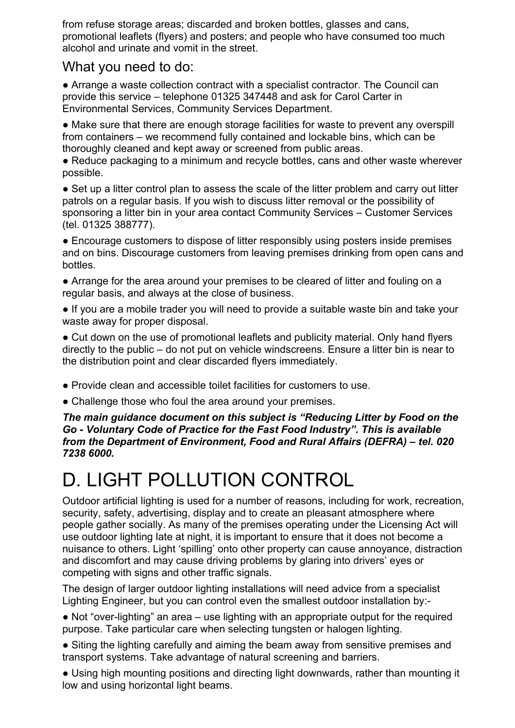from refuse storage areas; discarded and broken bottles, glasses and cans, promotional leaflets (flyers) and posters; and people who have consumed too much alcohol and urinate and vomit in the street.

## What you need to do:

● Arrange a waste collection contract with a specialist contractor. The Council can provide this service – telephone 01325 347448 and ask for Carol Carter in Environmental Services, Community Services Department.

• Make sure that there are enough storage facilities for waste to prevent any overspill from containers – we recommend fully contained and lockable bins, which can be thoroughly cleaned and kept away or screened from public areas.

• Reduce packaging to a minimum and recycle bottles, cans and other waste wherever possible.

• Set up a litter control plan to assess the scale of the litter problem and carry out litter patrols on a regular basis. If you wish to discuss litter removal or the possibility of sponsoring a litter bin in your area contact Community Services – Customer Services (tel. 01325 388777).

• Encourage customers to dispose of litter responsibly using posters inside premises and on bins. Discourage customers from leaving premises drinking from open cans and bottles.

• Arrange for the area around your premises to be cleared of litter and fouling on a regular basis, and always at the close of business.

● If you are a mobile trader you will need to provide a suitable waste bin and take your waste away for proper disposal.

• Cut down on the use of promotional leaflets and publicity material. Only hand flyers directly to the public – do not put on vehicle windscreens. Ensure a litter bin is near to the distribution point and clear discarded flyers immediately.

● Provide clean and accessible toilet facilities for customers to use.

• Challenge those who foul the area around your premises.

*The main guidance document on this subject is "Reducing Litter by Food on the Go - Voluntary Code of Practice for the Fast Food Industry". This is available from the Department of Environment, Food and Rural Affairs (DEFRA) – tel. 020 7238 6000.* 

# D. LIGHT POLLUTION CONTROL

Outdoor artificial lighting is used for a number of reasons, including for work, recreation, security, safety, advertising, display and to create an pleasant atmosphere where people gather socially. As many of the premises operating under the Licensing Act will use outdoor lighting late at night, it is important to ensure that it does not become a nuisance to others. Light 'spilling' onto other property can cause annoyance, distraction and discomfort and may cause driving problems by glaring into drivers' eyes or competing with signs and other traffic signals.

The design of larger outdoor lighting installations will need advice from a specialist Lighting Engineer, but you can control even the smallest outdoor installation by:-

• Not "over-lighting" an area – use lighting with an appropriate output for the required purpose. Take particular care when selecting tungsten or halogen lighting.

• Siting the lighting carefully and aiming the beam away from sensitive premises and transport systems. Take advantage of natural screening and barriers.

• Using high mounting positions and directing light downwards, rather than mounting it low and using horizontal light beams.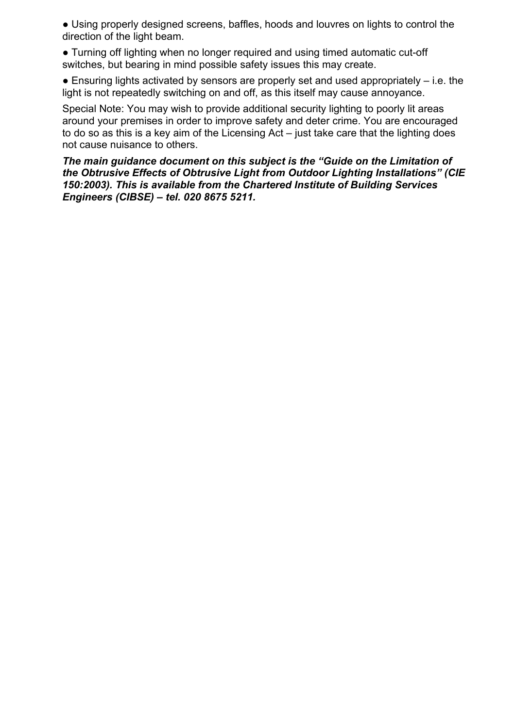• Using properly designed screens, baffles, hoods and louvres on lights to control the direction of the light beam.

● Turning off lighting when no longer required and using timed automatic cut-off switches, but bearing in mind possible safety issues this may create.

 $\bullet$  Ensuring lights activated by sensors are properly set and used appropriately  $-$  i.e. the light is not repeatedly switching on and off, as this itself may cause annoyance.

Special Note: You may wish to provide additional security lighting to poorly lit areas around your premises in order to improve safety and deter crime. You are encouraged to do so as this is a key aim of the Licensing Act – just take care that the lighting does not cause nuisance to others.

*The main guidance document on this subject is the "Guide on the Limitation of the Obtrusive Effects of Obtrusive Light from Outdoor Lighting Installations" (CIE 150:2003). This is available from the Chartered Institute of Building Services Engineers (CIBSE) – tel. 020 8675 5211.*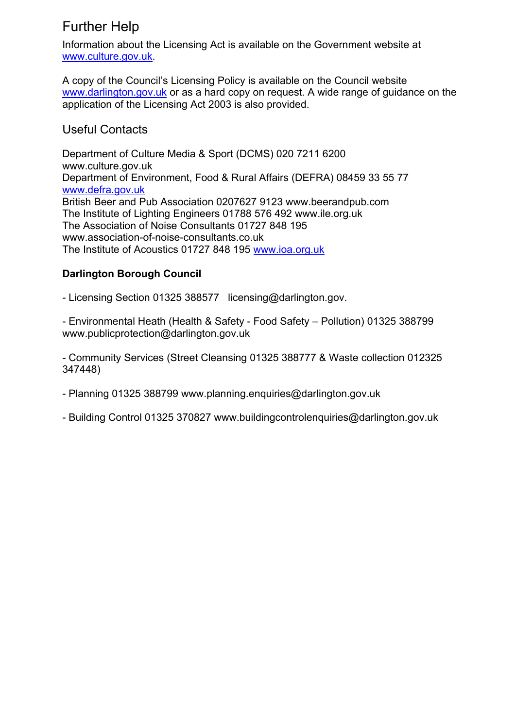# Further Help

Information about the Licensing Act is available on the Government website at www.culture.gov.uk.

A copy of the Council's Licensing Policy is available on the Council website www.darlington.gov.uk or as a hard copy on request. A wide range of guidance on the application of the Licensing Act 2003 is also provided.

### Useful Contacts

Department of Culture Media & Sport (DCMS) 020 7211 6200 www.culture.gov.uk Department of Environment, Food & Rural Affairs (DEFRA) 08459 33 55 77 www.defra.gov.uk British Beer and Pub Association 0207627 9123 www.beerandpub.com The Institute of Lighting Engineers 01788 576 492 www.ile.org.uk The Association of Noise Consultants 01727 848 195 www.association-of-noise-consultants.co.uk The Institute of Acoustics 01727 848 195 www.ioa.org.uk

### **Darlington Borough Council**

- Licensing Section 01325 388577 licensing@darlington.gov.

- Environmental Heath (Health & Safety - Food Safety – Pollution) 01325 388799 www.publicprotection@darlington.gov.uk

- Community Services (Street Cleansing 01325 388777 & Waste collection 012325 347448)

- Planning 01325 388799 www.planning.enquiries@darlington.gov.uk

- Building Control 01325 370827 www.buildingcontrolenquiries@darlington.gov.uk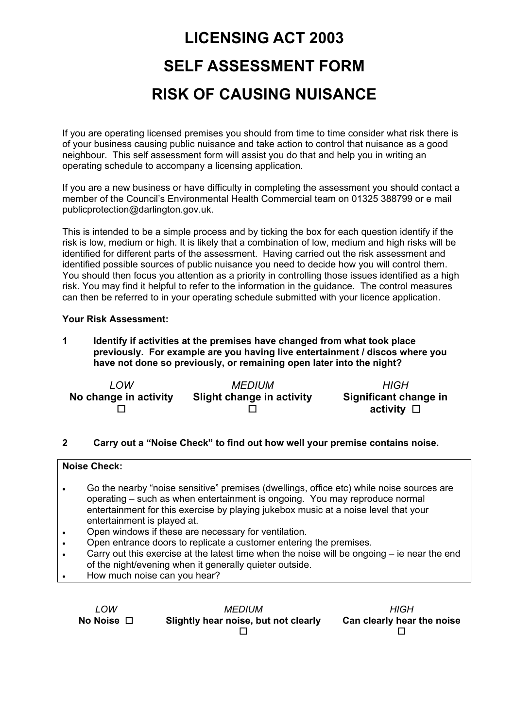# **LICENSING ACT 2003 SELF ASSESSMENT FORM RISK OF CAUSING NUISANCE**

If you are operating licensed premises you should from time to time consider what risk there is of your business causing public nuisance and take action to control that nuisance as a good neighbour. This self assessment form will assist you do that and help you in writing an operating schedule to accompany a licensing application.

If you are a new business or have difficulty in completing the assessment you should contact a member of the Council's Environmental Health Commercial team on 01325 388799 or e mail publicprotection@darlington.gov.uk.

This is intended to be a simple process and by ticking the box for each question identify if the risk is low, medium or high. It is likely that a combination of low, medium and high risks will be identified for different parts of the assessment. Having carried out the risk assessment and identified possible sources of public nuisance you need to decide how you will control them. You should then focus you attention as a priority in controlling those issues identified as a high risk. You may find it helpful to refer to the information in the guidance. The control measures can then be referred to in your operating schedule submitted with your licence application.

#### **Your Risk Assessment:**

**1 Identify if activities at the premises have changed from what took place previously. For example are you having live entertainment / discos where you have not done so previously, or remaining open later into the night?** 

| LOW                   | <b>MEDIUM</b>                    | <b>HIGH</b>                                 |
|-----------------------|----------------------------------|---------------------------------------------|
| No change in activity | <b>Slight change in activity</b> | Significant change in<br>activity $\square$ |

#### **2 Carry out a "Noise Check" to find out how well your premise contains noise.**

| <b>Noise Check:</b> |                                                                                             |  |  |  |
|---------------------|---------------------------------------------------------------------------------------------|--|--|--|
|                     |                                                                                             |  |  |  |
|                     |                                                                                             |  |  |  |
|                     | Go the nearby "noise sensitive" premises (dwellings, office etc) while noise sources are    |  |  |  |
|                     |                                                                                             |  |  |  |
|                     | operating – such as when entertainment is ongoing. You may reproduce normal                 |  |  |  |
|                     | entertainment for this exercise by playing jukebox music at a noise level that your         |  |  |  |
|                     |                                                                                             |  |  |  |
|                     | entertainment is played at.                                                                 |  |  |  |
| $\bullet$           | Open windows if these are necessary for ventilation.                                        |  |  |  |
|                     |                                                                                             |  |  |  |
|                     | Open entrance doors to replicate a customer entering the premises.                          |  |  |  |
| $\bullet$           | Carry out this exercise at the latest time when the noise will be ongoing – ie near the end |  |  |  |
|                     |                                                                                             |  |  |  |
|                     | of the night/evening when it generally quieter outside.                                     |  |  |  |
|                     | How much noise can you hear?                                                                |  |  |  |
|                     |                                                                                             |  |  |  |
|                     |                                                                                             |  |  |  |

*LOW*  **No Noise**  *MEDIUM*  **Slightly hear noise, but not clearly**   $\Box$ *HIGH*  **Can clearly hear the noise**   $\Box$